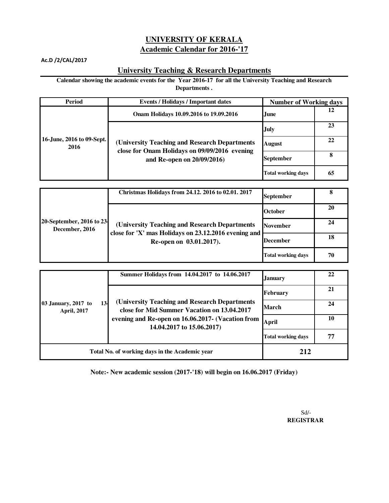## **Academic Calendar for 2016-'17 UNIVERSITY OF KERALA**

Ac.D /2/CAL/2017

## **University Teaching & Research Departments**

**Calendar showing the academic events for the Year 2016-17 for all the University Teaching and Research Departments .**

| Period                            | <b>Events / Holidays / Important dates</b>                                                                                    | <b>Number of Working days</b> |    |
|-----------------------------------|-------------------------------------------------------------------------------------------------------------------------------|-------------------------------|----|
| 16-June, 2016 to 09-Sept.<br>2016 | Onam Holidays 10.09.2016 to 19.09.2016                                                                                        | June.                         | 12 |
|                                   | (University Teaching and Research Departments)<br>close for Onam Holidays on 09/09/2016 evening<br>and Re-open on 20/09/2016) | <b>July</b>                   | 23 |
|                                   |                                                                                                                               | <b>August</b>                 | 22 |
|                                   |                                                                                                                               | <b>September</b>              | 8  |
|                                   |                                                                                                                               | <b>Total working days</b>     | 65 |

| 20-September, 2016 to 23<br>December, 2016 | Christmas Holidays from 24.12. 2016 to 02.01. 2017                                                                                | <b>September</b>          |     |
|--------------------------------------------|-----------------------------------------------------------------------------------------------------------------------------------|---------------------------|-----|
|                                            | (University Teaching and Research Departments)<br>close for 'X' mas Holidays on 23.12.2016 evening and<br>Re-open on 03.01.2017). | <b>October</b>            | 20  |
|                                            |                                                                                                                                   | <b>November</b>           | 24  |
|                                            |                                                                                                                                   | December                  | -18 |
|                                            |                                                                                                                                   | <b>Total working days</b> | 70  |

| $13-$<br>03 January, 2017 to<br><b>April, 2017</b> | Summer Holidays from 14.04.2017 to 14.06.2017                                                                                                                                   | January                   | 22 |
|----------------------------------------------------|---------------------------------------------------------------------------------------------------------------------------------------------------------------------------------|---------------------------|----|
|                                                    | (University Teaching and Research Departments)<br>close for Mid Summer Vacation on 13.04.2017<br>evening and Re-open on 16.06.2017- (Vacation from<br>14.04.2017 to 15.06.2017) | <b>February</b>           | 21 |
|                                                    |                                                                                                                                                                                 | March                     | 24 |
|                                                    |                                                                                                                                                                                 | <b>April</b>              | 10 |
|                                                    |                                                                                                                                                                                 | <b>Total working days</b> | 77 |
| Total No. of working days in the Academic year     |                                                                                                                                                                                 | 212                       |    |

**Note:- New academic session (2017-'18) will begin on 16.06.2017 (Friday)** 

 Sd/- **REGISTRAR**